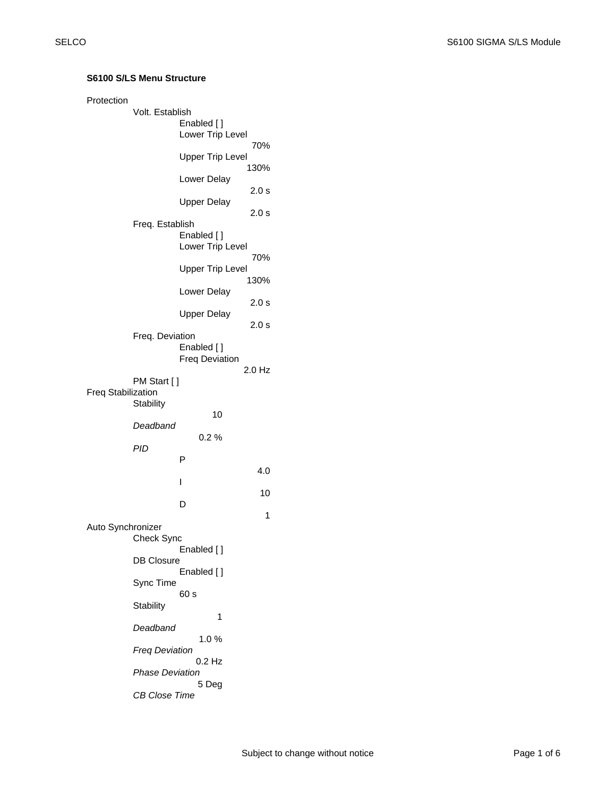| Protection                | Volt. Establish<br>Enabled []<br>Lower Trip Level |                                     |          |  |  |
|---------------------------|---------------------------------------------------|-------------------------------------|----------|--|--|
|                           |                                                   | 70%<br><b>Upper Trip Level</b>      |          |  |  |
|                           |                                                   | Lower Delay                         | 130%     |  |  |
|                           |                                                   | <b>Upper Delay</b>                  | 2.0 s    |  |  |
|                           | Freq. Establish                                   |                                     | 2.0 s    |  |  |
|                           |                                                   | Enabled []<br>Lower Trip Level      | 70%      |  |  |
|                           |                                                   | <b>Upper Trip Level</b>             |          |  |  |
|                           |                                                   | Lower Delay                         | 130%     |  |  |
|                           |                                                   | <b>Upper Delay</b>                  | 2.0 s    |  |  |
|                           |                                                   |                                     | 2.0 s    |  |  |
|                           | Freq. Deviation                                   | Enabled []<br><b>Freq Deviation</b> |          |  |  |
|                           | PM Start [ ]                                      |                                     | $2.0$ Hz |  |  |
| <b>Freq Stabilization</b> | Stability                                         |                                     |          |  |  |
|                           |                                                   | 10                                  |          |  |  |
|                           | Deadband                                          | 0.2%                                |          |  |  |
|                           | PID                                               | Р                                   |          |  |  |
|                           |                                                   |                                     | 4.0      |  |  |
|                           |                                                   | I                                   | 10       |  |  |
|                           |                                                   | D                                   | 1        |  |  |
| Auto Synchronizer         | <b>Check Sync</b>                                 |                                     |          |  |  |
|                           | <b>DB Closure</b>                                 | Enabled []<br>Enabled []            |          |  |  |
|                           | Sync Time                                         |                                     |          |  |  |
|                           | Stability                                         | 60 s                                |          |  |  |
|                           | Deadband                                          | 1                                   |          |  |  |
|                           | <b>Freg Deviation</b>                             | 1.0%                                |          |  |  |
|                           | 0.2 Hz                                            |                                     |          |  |  |
|                           | <b>Phase Deviation</b><br>5 Deg                   |                                     |          |  |  |
|                           | <b>CB Close Time</b>                              |                                     |          |  |  |

## **S6100 S/LS Menu Structure**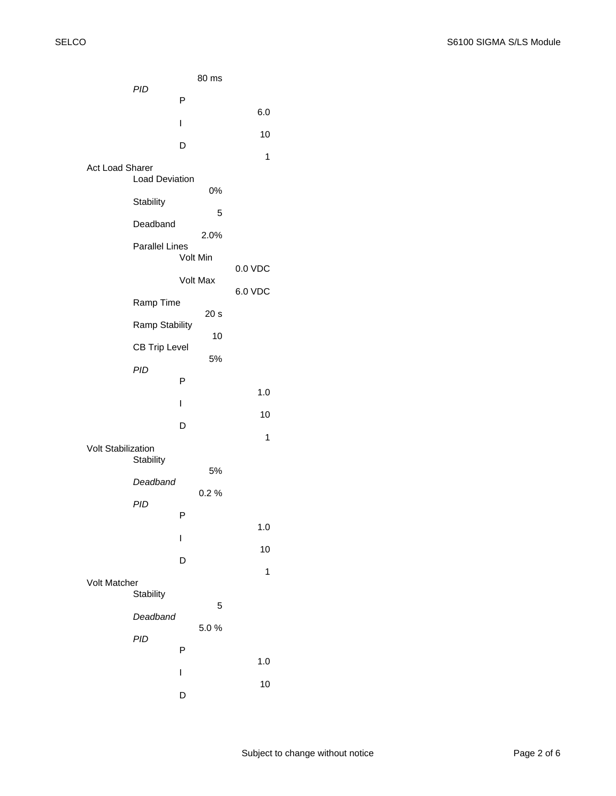|                           |                       |          | 80 ms           |         |  |
|---------------------------|-----------------------|----------|-----------------|---------|--|
|                           | PID                   | P        |                 |         |  |
|                           |                       | I        |                 | 6.0     |  |
|                           |                       | D        |                 | 10      |  |
|                           |                       |          |                 | 1       |  |
| <b>Act Load Sharer</b>    | <b>Load Deviation</b> |          |                 |         |  |
|                           | Stability             |          | 0%              |         |  |
|                           | Deadband              |          | 5               |         |  |
|                           | <b>Parallel Lines</b> |          | 2.0%            |         |  |
|                           |                       | Volt Min |                 |         |  |
|                           |                       |          | Volt Max        | 6.0 VDC |  |
|                           | Ramp Time             |          | 20 <sub>s</sub> |         |  |
|                           | Ramp Stability        |          | 10              |         |  |
|                           | <b>CB Trip Level</b>  |          | 5%              |         |  |
|                           | PID                   | P        |                 |         |  |
|                           |                       | I        |                 | 1.0     |  |
|                           |                       | D        |                 | 10      |  |
| <b>Volt Stabilization</b> |                       |          |                 | 1       |  |
|                           | Stability             |          | 5%              |         |  |
|                           | Deadband              |          | 0.2%            |         |  |
|                           | <b>PID</b>            | Ρ        |                 |         |  |
|                           |                       | I        |                 | 1.0     |  |
|                           |                       | D        |                 | 10      |  |
| <b>Volt Matcher</b>       |                       |          |                 | 1       |  |
|                           | Stability             |          | 5               |         |  |
|                           | Deadband              |          | 5.0%            |         |  |
|                           | PID                   | P        |                 |         |  |
|                           |                       |          |                 | 1.0     |  |
|                           |                       | I        |                 | 10      |  |
|                           |                       | D        |                 |         |  |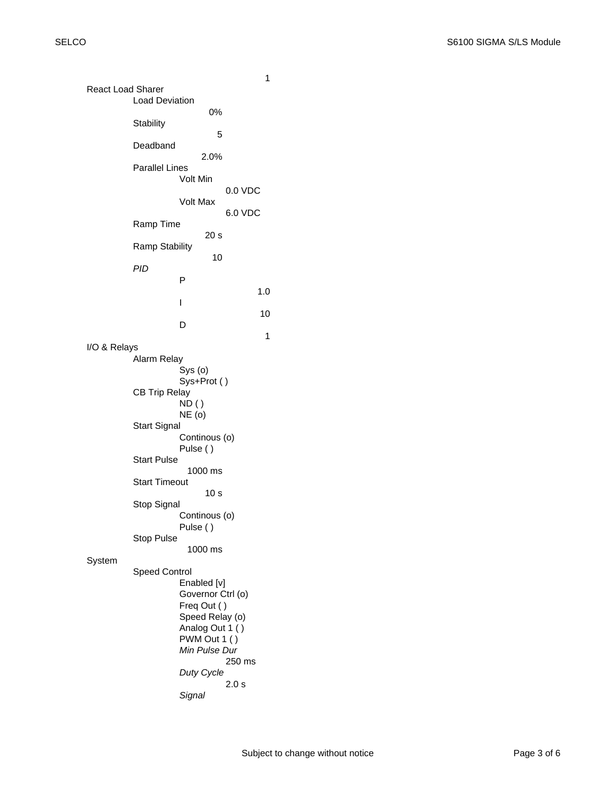| <b>React Load Sharer</b> |                                                |                                | 1         |  |  |
|--------------------------|------------------------------------------------|--------------------------------|-----------|--|--|
| <b>Load Deviation</b>    |                                                |                                |           |  |  |
|                          | Stability                                      | 0%                             |           |  |  |
|                          | Deadband                                       | 5                              |           |  |  |
|                          | Parallel Lines                                 | 2.0%                           |           |  |  |
|                          |                                                | Volt Min                       | $0.0$ VDC |  |  |
|                          |                                                | Volt Max                       | 6.0 VDC   |  |  |
|                          | Ramp Time                                      |                                |           |  |  |
|                          | <b>Ramp Stability</b>                          | 20 s                           |           |  |  |
|                          | PID                                            | 10                             |           |  |  |
|                          |                                                | Р                              | 1.0       |  |  |
|                          |                                                | I                              | 10        |  |  |
|                          |                                                | D                              |           |  |  |
| I/O & Relays             |                                                |                                | 1         |  |  |
|                          | Alarm Relay                                    |                                |           |  |  |
|                          | Sys (o)<br>Sys+Prot ()<br><b>CB Trip Relay</b> |                                |           |  |  |
|                          |                                                |                                |           |  |  |
|                          |                                                | ND ( )<br>NE (o)               |           |  |  |
|                          | <b>Start Signal</b>                            | Continous (o)                  |           |  |  |
|                          | Pulse ()                                       |                                |           |  |  |
|                          | <b>Start Pulse</b>                             | 1000 ms                        |           |  |  |
|                          | <b>Start Timeout</b>                           | 10 s                           |           |  |  |
|                          | Stop Signal                                    |                                |           |  |  |
|                          |                                                | Continous (o)<br>Pulse ()      |           |  |  |
|                          | <b>Stop Pulse</b>                              | 1000 ms                        |           |  |  |
| System                   |                                                |                                |           |  |  |
|                          | <b>Speed Control</b>                           | Enabled [v]                    |           |  |  |
|                          |                                                | Governor Ctrl (o)              |           |  |  |
|                          |                                                | Freq Out ()<br>Speed Relay (o) |           |  |  |
|                          |                                                | Analog Out 1 ()                |           |  |  |
|                          |                                                | PWM Out 1 ()<br>Min Pulse Dur  |           |  |  |
|                          |                                                |                                | 250 ms    |  |  |
|                          |                                                | Duty Cycle                     | 2.0 s     |  |  |
|                          |                                                | Signal                         |           |  |  |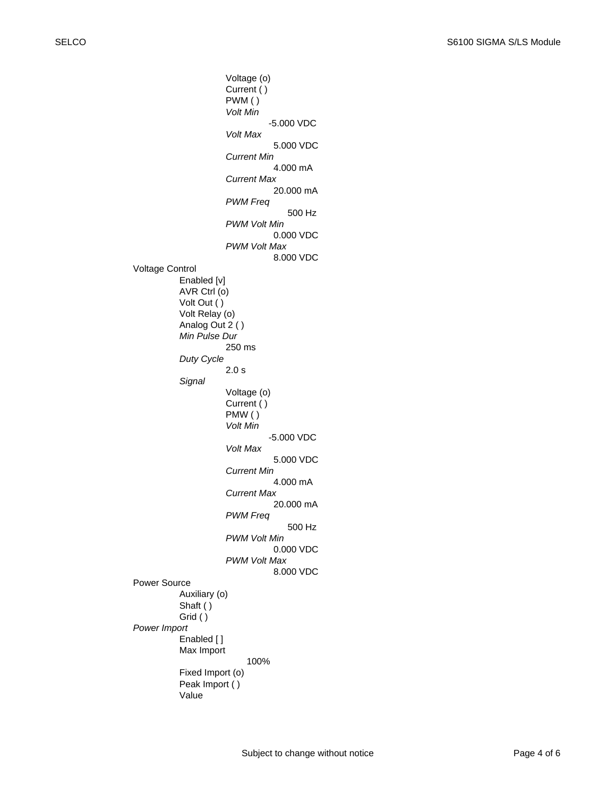Voltage (o) Current ( ) PWM ( ) *Volt Min* -5.000 VDC *Volt Max* 5.000 VDC *Current Min* 4.000 mA *Current Max* 20.000 mA *PWM Freq* 500 Hz *PWM Volt Min* 0.000 VDC *PWM Volt Max* 8.000 VDC Voltage Control Enabled [v] AVR Ctrl (o) Volt Out ( ) Volt Relay (o) Analog Out 2 ( ) *Min Pulse Dur* 250 ms *Duty Cycle* 2.0 s *Signal* Voltage (o) Current ( ) PMW ( ) *Volt Min* -5.000 VDC *Volt Max* 5.000 VDC *Current Min* 4.000 mA *Current Max* 20.000 mA *PWM Freq* 500 Hz *PWM Volt Min* 0.000 VDC *PWM Volt Max* 8.000 VDC Power Source Auxiliary (o) Shaft ( ) Grid ( ) *Power Import* Enabled [ ] Max Import 100% Fixed Import (o) Peak Import ( ) Value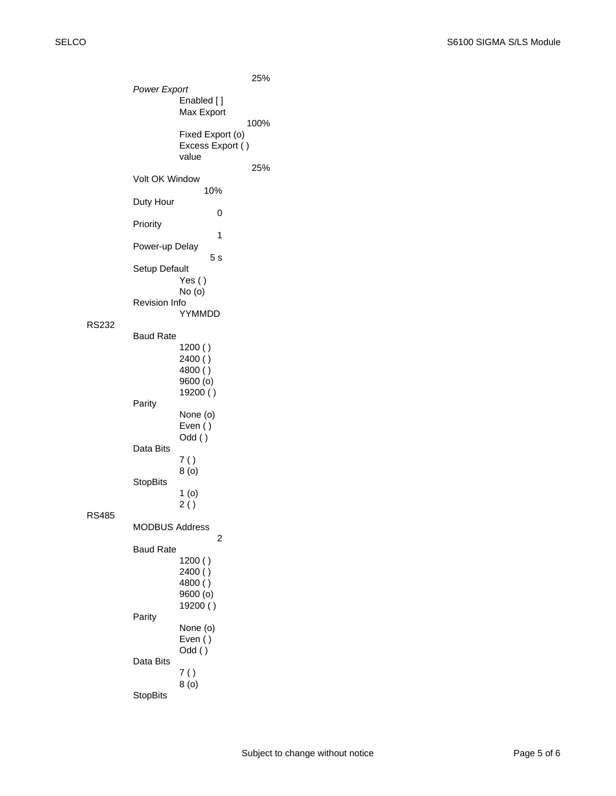RS232

RS485

25% *Power Export* Enabled [ ] Max Export 100% Fixed Export (o) Excess Export ( ) value 25% Volt OK Window 10% Duty Hour 0 Priority 1 Power-up Delay 5 s Setup Default Yes ( ) No (o) Revision Info YYMMDD Baud Rate 1200 ( ) 2400 ( ) 4800 ( ) 9600 (o) 19200 ( ) Parity None (o) Even ( ) Odd ( ) Data Bits 7 ( ) 8 (o) **StopBits** 1 (o) 2 ( ) MODBUS Address 2 Baud Rate 1200 ( ) 2400 ( ) 4800 ( ) 9600 (o) 19200 ( ) Parity None (o) Even ( ) Odd ( ) Data Bits 7 ( ) 8 (o) StopBits